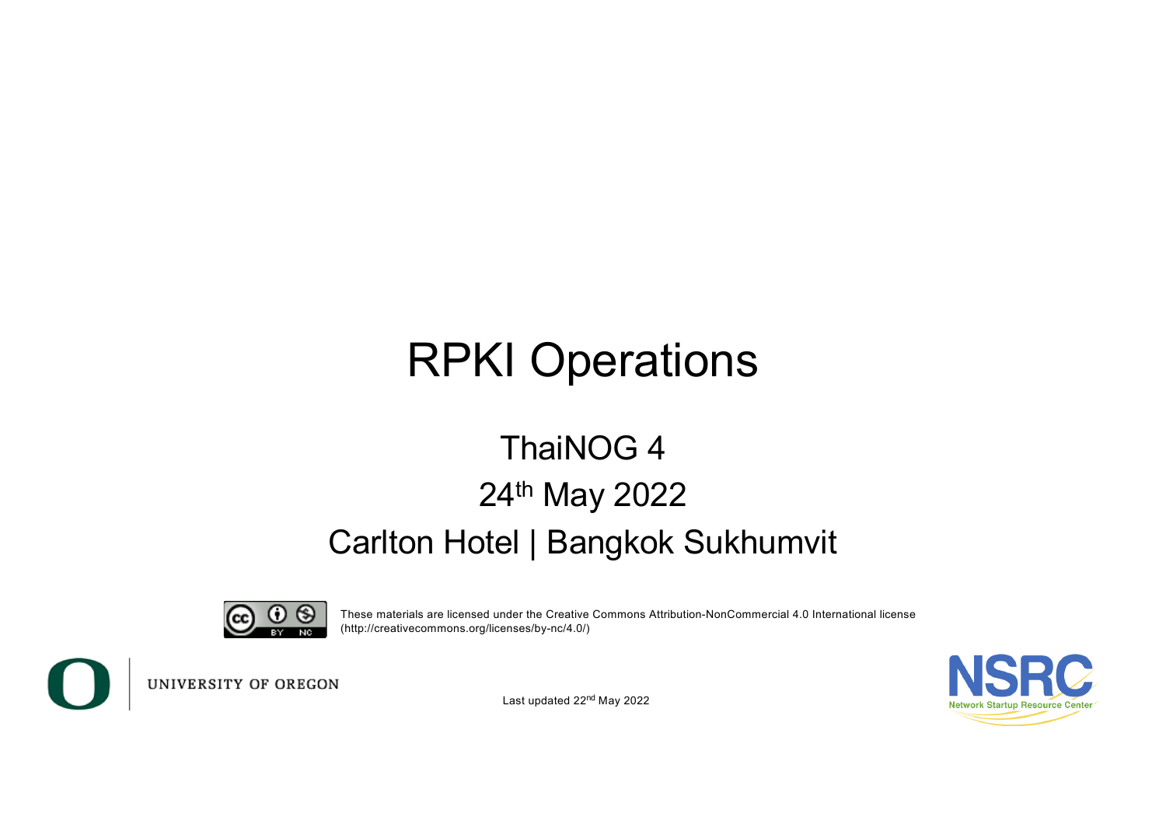# RPKI Operations

#### ThaiNOG 4 24th May 2022 Carlton Hotel | Bangkok Sukhumvit



These materials are licensed under the Creative Commons Attribution-NonCommercial 4.0 International license (http://creativecommons.org/licenses/by-nc/4.0/)



UNIVERSITY OF OREGON

Last updated 22<sup>nd</sup> May 2022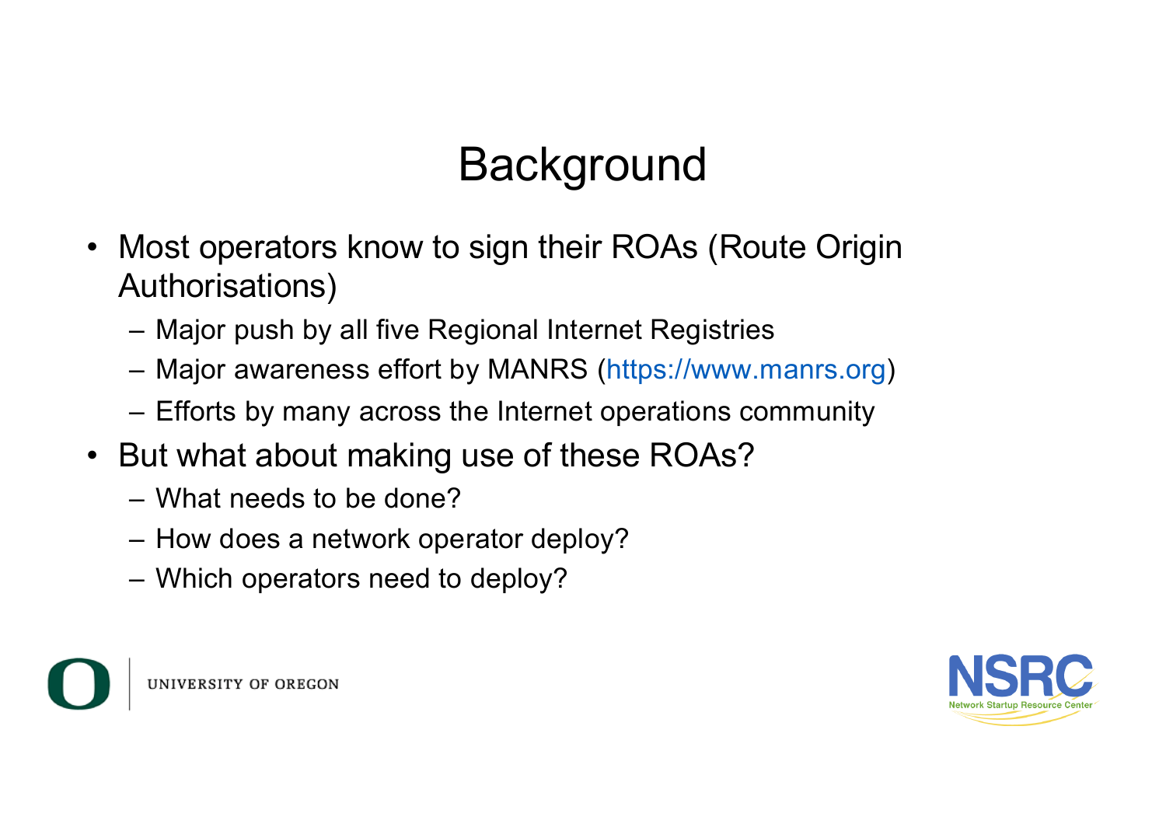# **Background**

- Most operators know to sign their ROAs (Route Origin Authorisations)
	- Major push by all five Regional Internet Registries
	- Major awareness effort by MANRS (https://www.manrs.org)
	- Efforts by many across the Internet operations community
- But what about making use of these ROAs?
	- What needs to be done?
	- How does a network operator deploy?
	- Which operators need to deploy?



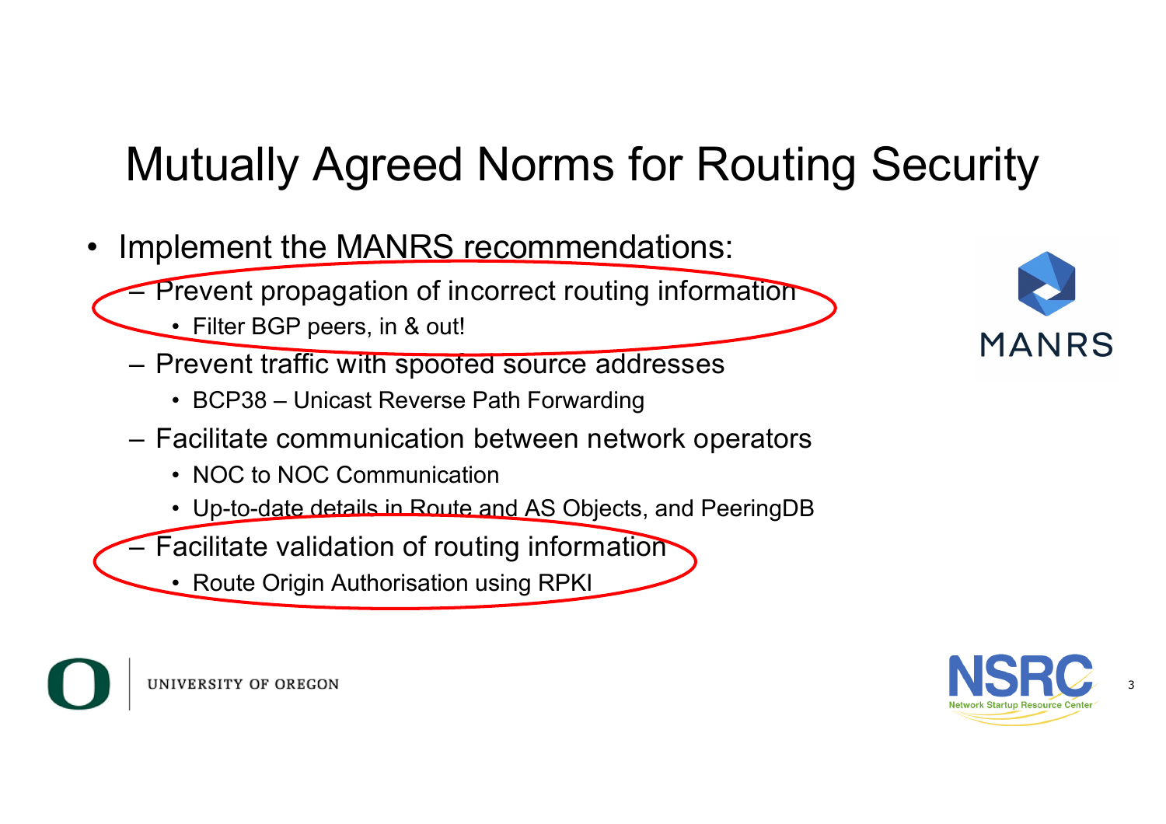# Mutually Agreed Norms for Routing Security

- Implement the MANRS recommendations:
	- Prevent propagation of incorrect routing information
		- Filter BGP peers, in & out!
	- Prevent traffic with spoofed source addresses
		- BCP38 Unicast Reverse Path Forwarding
	- Facilitate communication between network operators
		- NOC to NOC Communication
		- Up-to-date details in Route and AS Objects, and PeeringDB
	- Facilitate validation of routing information
		- Route Origin Authorisation using RPKI





3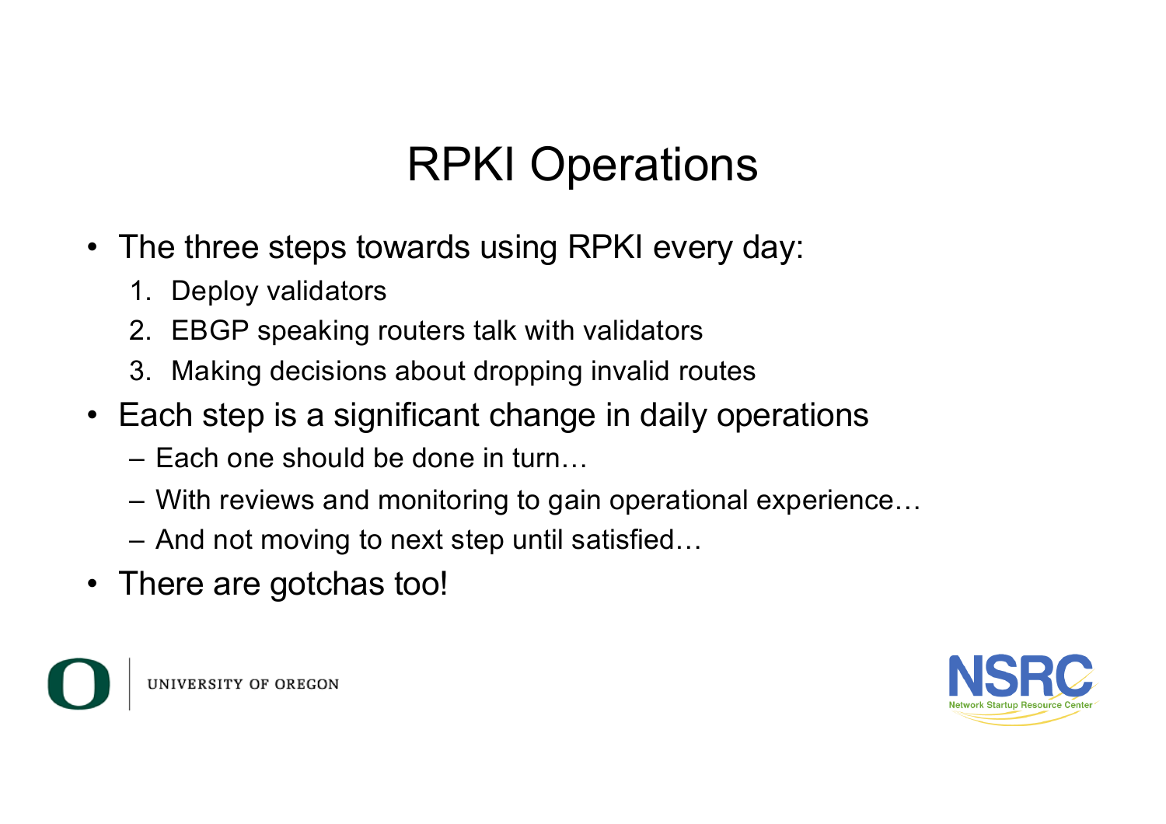# RPKI Operations

- The three steps towards using RPKI every day:
	- 1. Deploy validators
	- 2. EBGP speaking routers talk with validators
	- 3. Making decisions about dropping invalid routes
- Each step is a significant change in daily operations
	- Each one should be done in turn…
	- With reviews and monitoring to gain operational experience…
	- And not moving to next step until satisfied…
- There are gotchas too!



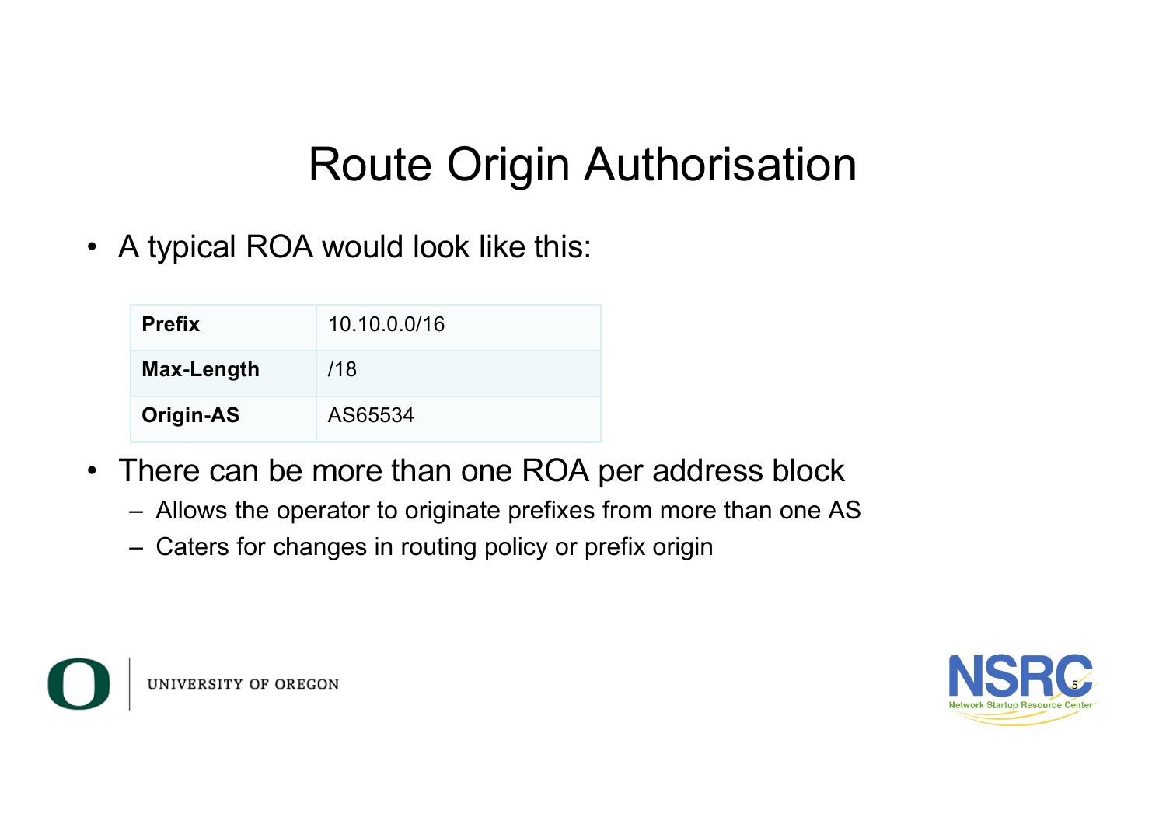### Route Origin Authorisation

• A typical ROA would look like this:

| <b>Prefix</b>    | 10.10.0.0/16 |
|------------------|--------------|
| Max-Length       | /18          |
| <b>Origin-AS</b> | AS65534      |

- There can be more than one ROA per address block
	- Allows the operator to originate prefixes from more than one AS
	- Caters for changes in routing policy or prefix origin



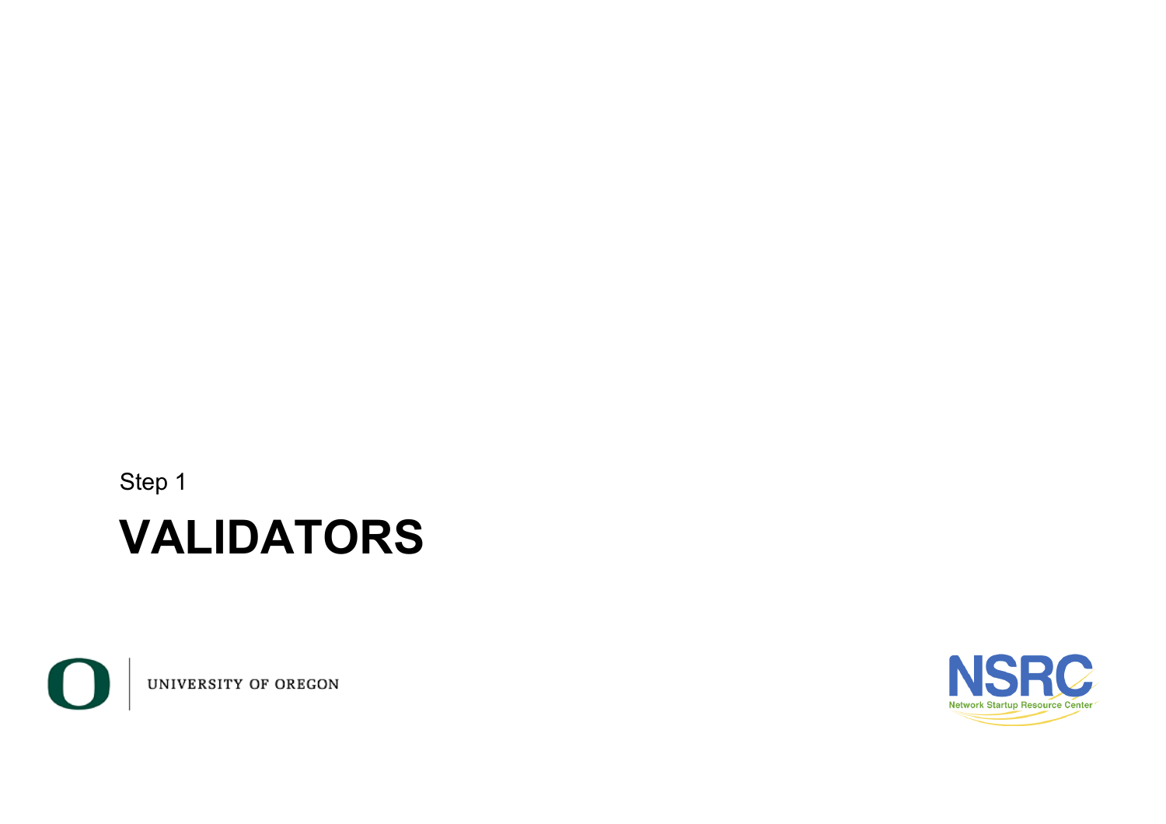Step 1

#### **VALIDATORS**



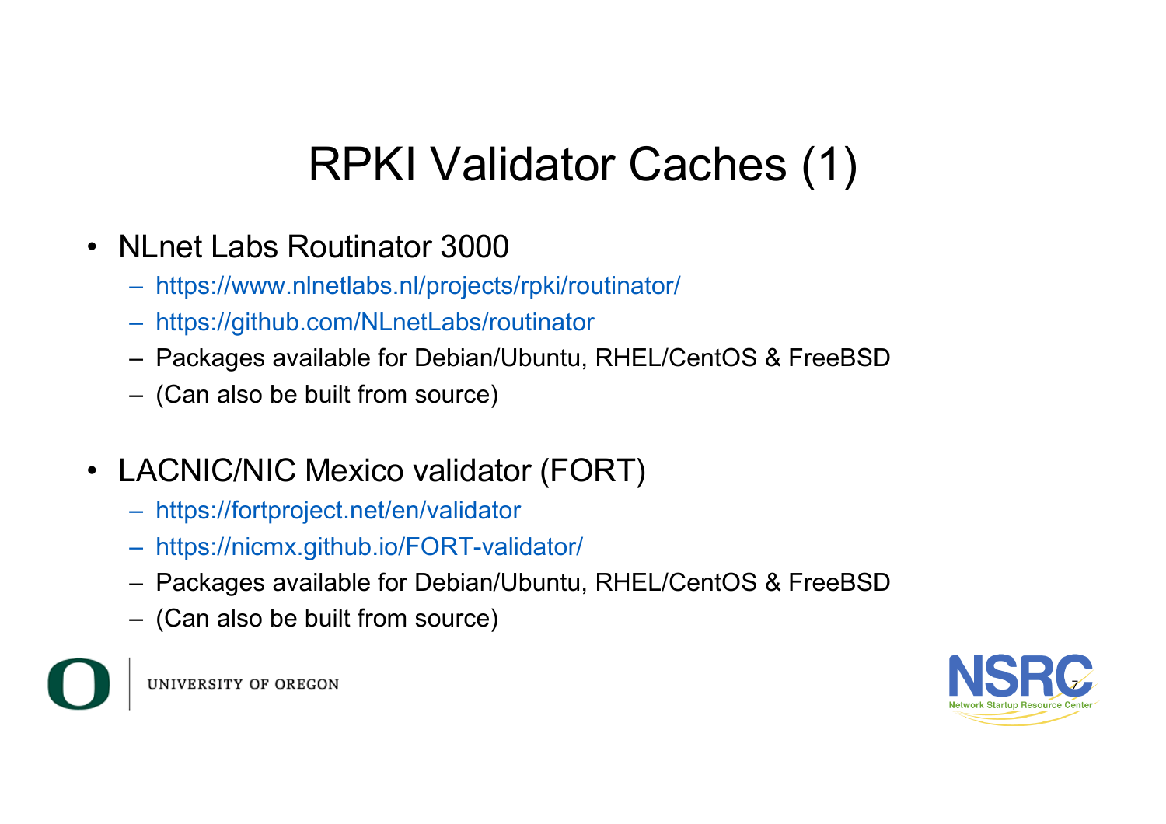# RPKI Validator Caches (1)

- NLnet Labs Routinator 3000
	- https://www.nlnetlabs.nl/projects/rpki/routinator/
	- https://github.com/NLnetLabs/routinator
	- Packages available for Debian/Ubuntu, RHEL/CentOS & FreeBSD
	- (Can also be built from source)
- LACNIC/NIC Mexico validator (FORT)
	- https://fortproject.net/en/validator
	- https://nicmx.github.io/FORT-validator/
	- Packages available for Debian/Ubuntu, RHEL/CentOS & FreeBSD
	- (Can also be built from source)



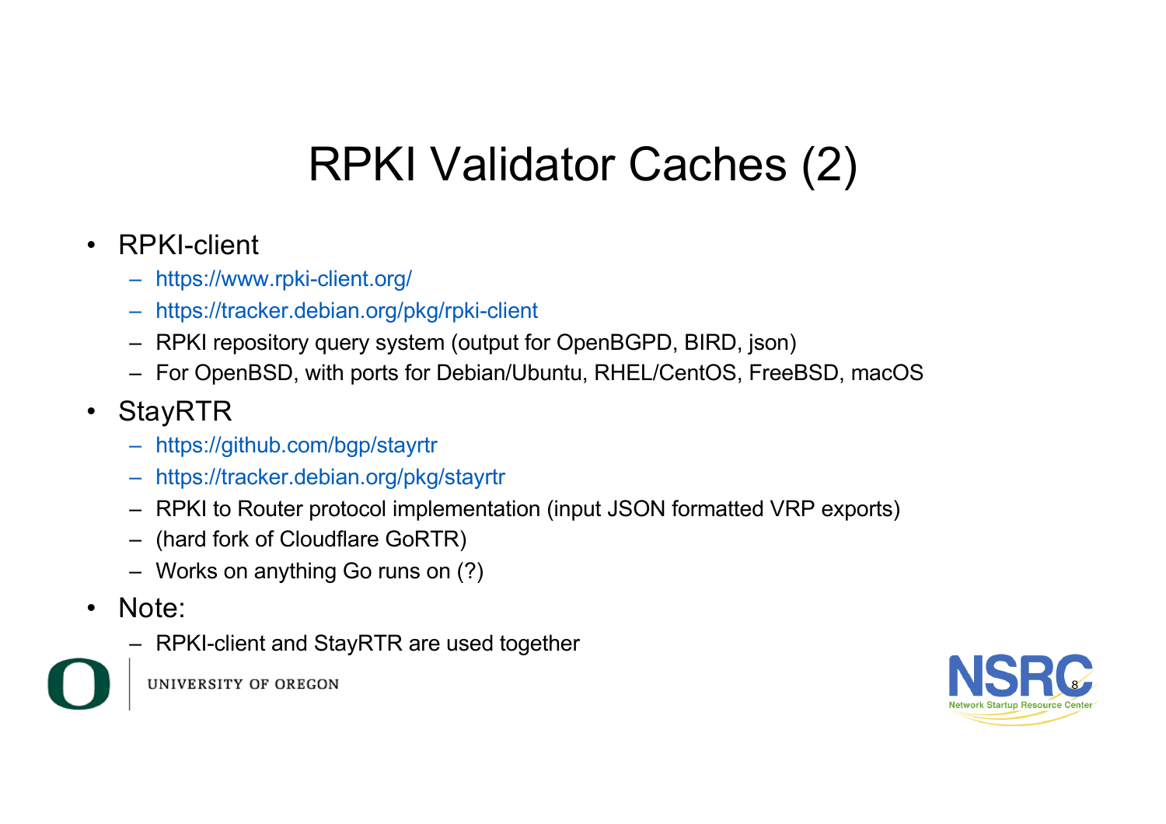# RPKI Validator Caches (2)

#### • RPKI-client

- https://www.rpki-client.org/
- https://tracker.debian.org/pkg/rpki-client
- RPKI repository query system (output for OpenBGPD, BIRD, json)
- For OpenBSD, with ports for Debian/Ubuntu, RHEL/CentOS, FreeBSD, macOS

#### • StayRTR

- https://github.com/bgp/stayrtr
- https://tracker.debian.org/pkg/stayrtr
- RPKI to Router protocol implementation (input JSON formatted VRP exports)
- (hard fork of Cloudflare GoRTR)
- Works on anything Go runs on (?)
- Note:
	- RPKI-client and StayRTR are used together



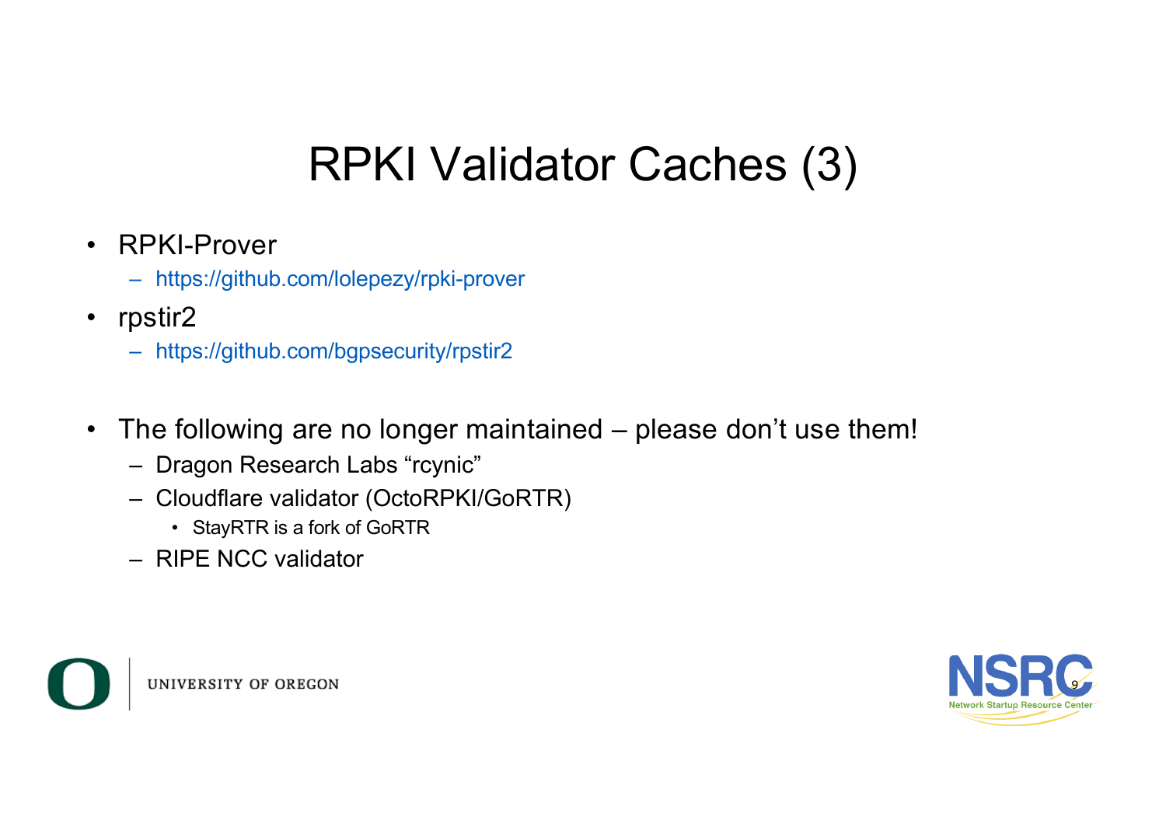# RPKI Validator Caches (3)

- RPKI-Prover
	- https://github.com/lolepezy/rpki-prover
- rpstir2
	- https://github.com/bgpsecurity/rpstir2
- The following are no longer maintained please don't use them!
	- Dragon Research Labs "rcynic"
	- Cloudflare validator (OctoRPKI/GoRTR)
		- StayRTR is a fork of GoRTR
	- RIPE NCC validator



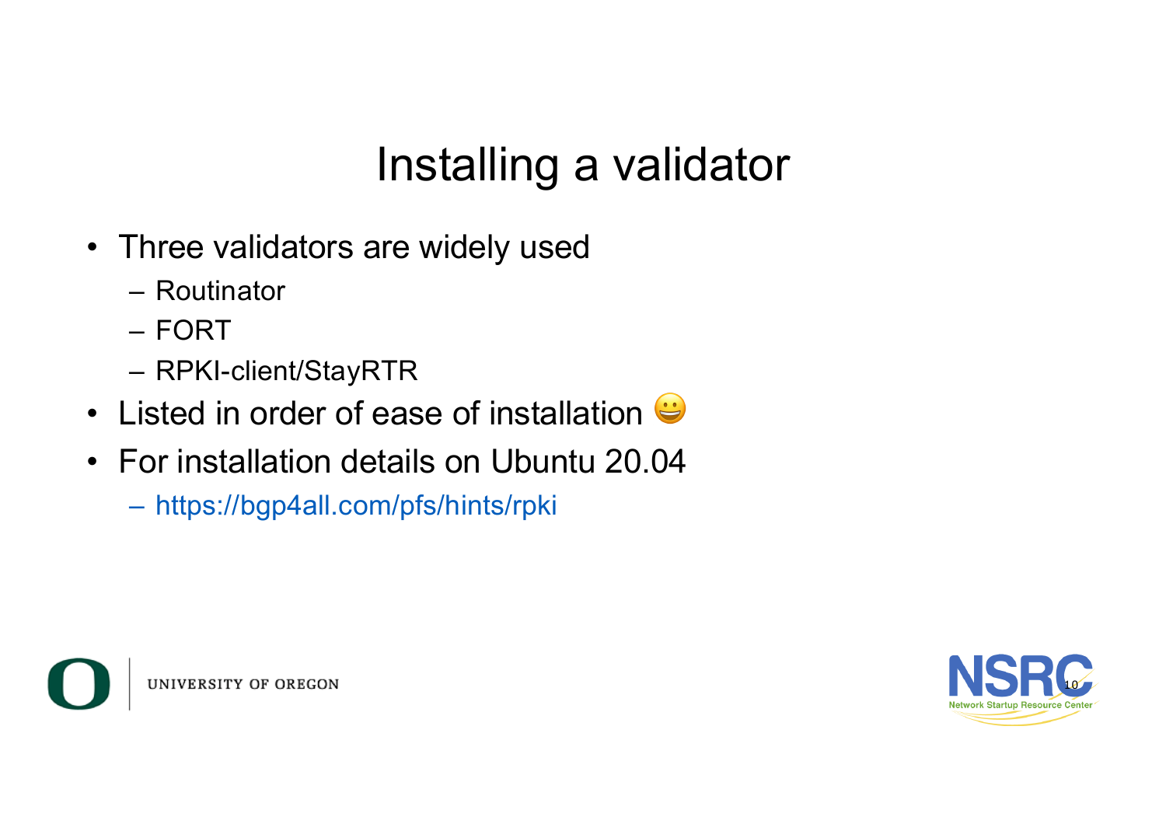### Installing a validator

- Three validators are widely used
	- Routinator
	- FORT
	- RPKI-client/StayRTR
- Listed in order of ease of installation  $\bigoplus$
- For installation details on Ubuntu 20.04
	- https://bgp4all.com/pfs/hints/rpki



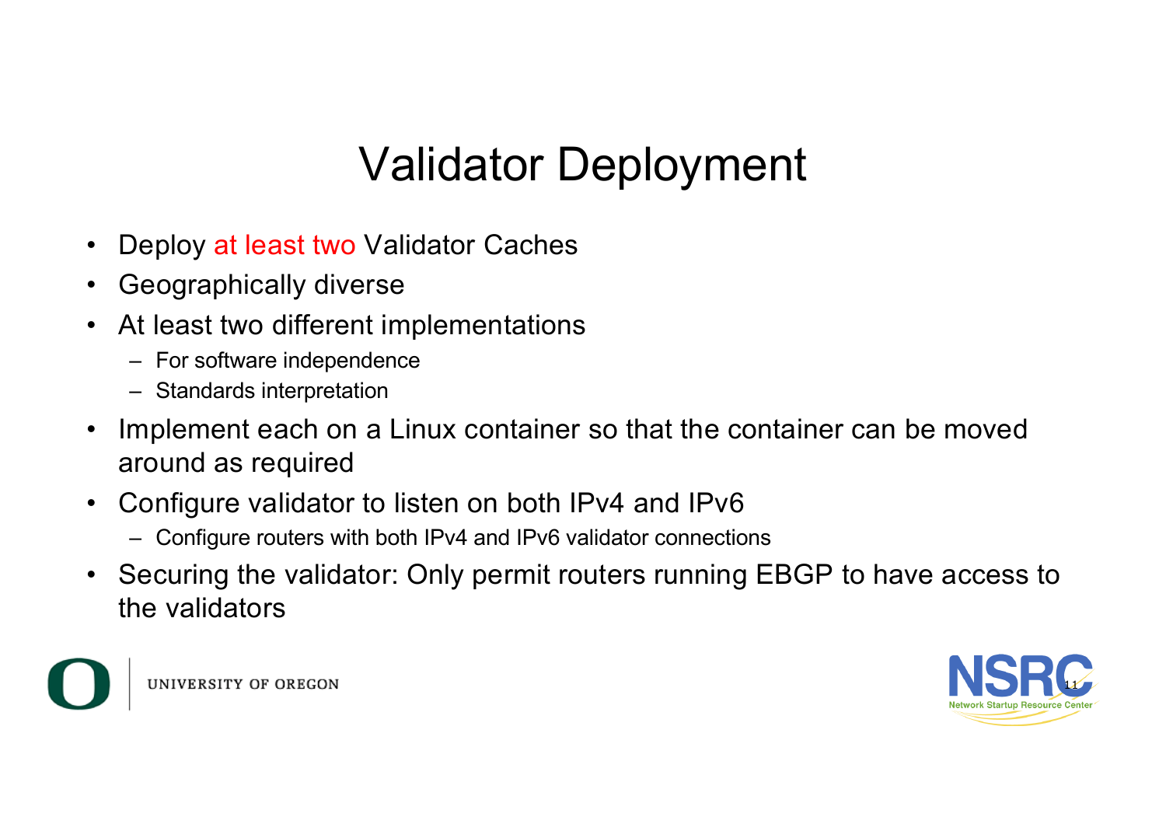## Validator Deployment

- Deploy at least two Validator Caches
- Geographically diverse
- At least two different implementations
	- For software independence
	- Standards interpretation
- Implement each on a Linux container so that the container can be moved around as required
- Configure validator to listen on both IPv4 and IPv6
	- Configure routers with both IPv4 and IPv6 validator connections
- Securing the validator: Only permit routers running EBGP to have access to the validators



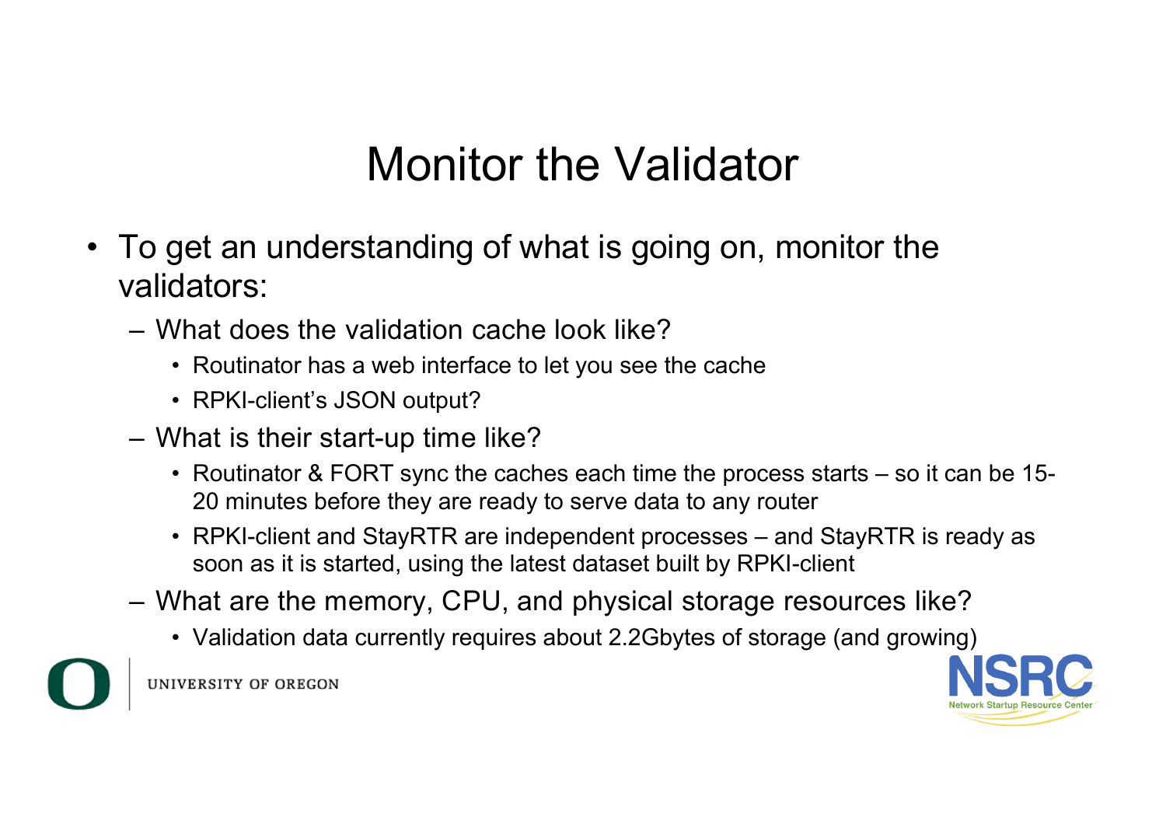#### Monitor the Validator

- To get an understanding of what is going on, monitor the validators:
	- What does the validation cache look like?
		- Routinator has a web interface to let you see the cache
		- RPKI-client's JSON output?
	- What is their start-up time like?
		- Routinator & FORT sync the caches each time the process starts so it can be 15- 20 minutes before they are ready to serve data to any router
		- RPKI-client and StayRTR are independent processes and StayRTR is ready as soon as it is started, using the latest dataset built by RPKI-client
	- What are the memory, CPU, and physical storage resources like?
		- Validation data currently requires about 2.2Gbytes of storage (and growing)



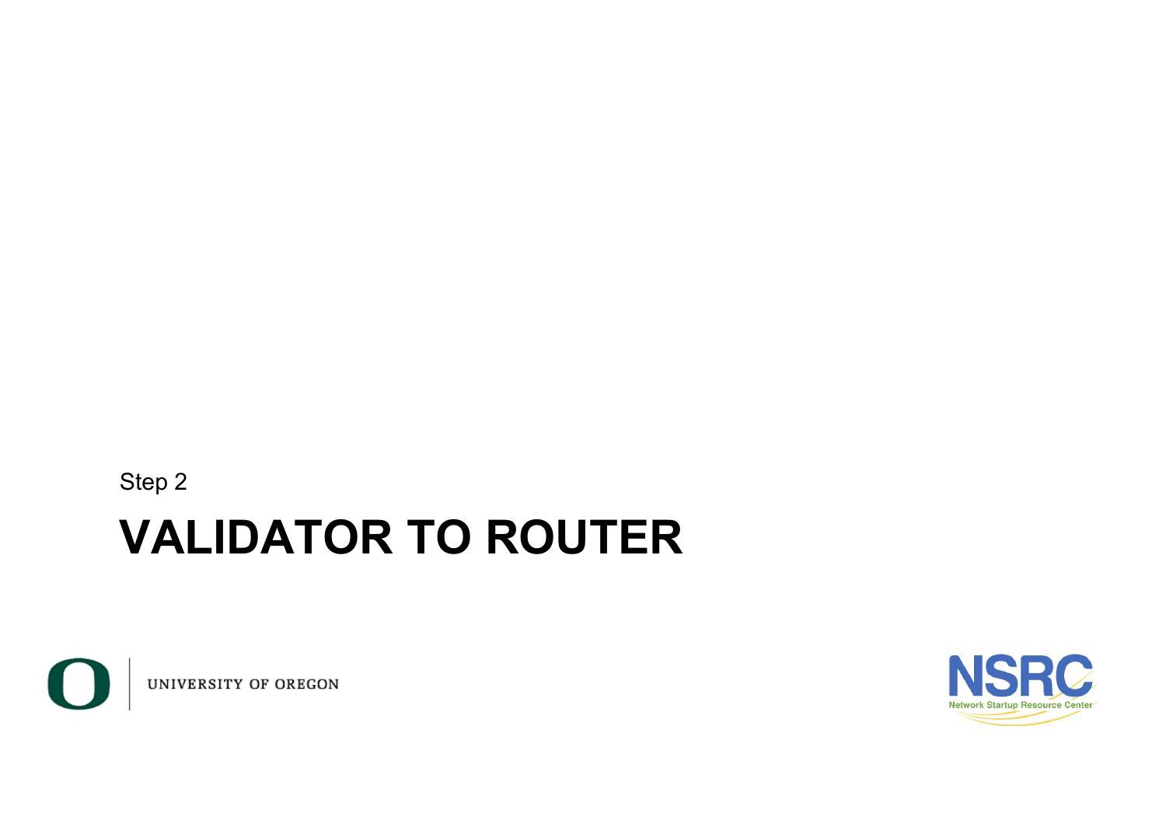**VALIDATOR TO ROUTER** Step 2



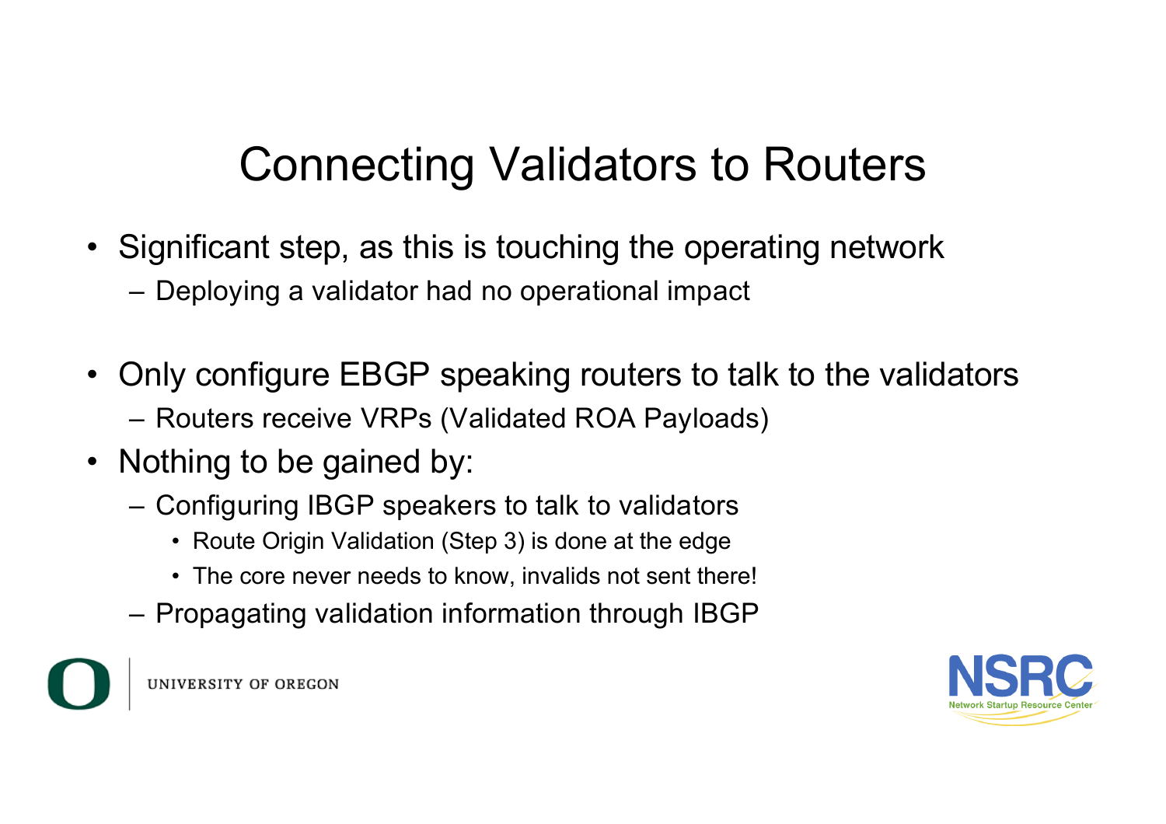- Significant step, as this is touching the operating network
	- Deploying a validator had no operational impact
- Only configure EBGP speaking routers to talk to the validators
	- Routers receive VRPs (Validated ROA Payloads)
- Nothing to be gained by:
	- Configuring IBGP speakers to talk to validators
		- Route Origin Validation (Step 3) is done at the edge
		- The core never needs to know, invalids not sent there!
	- Propagating validation information through IBGP

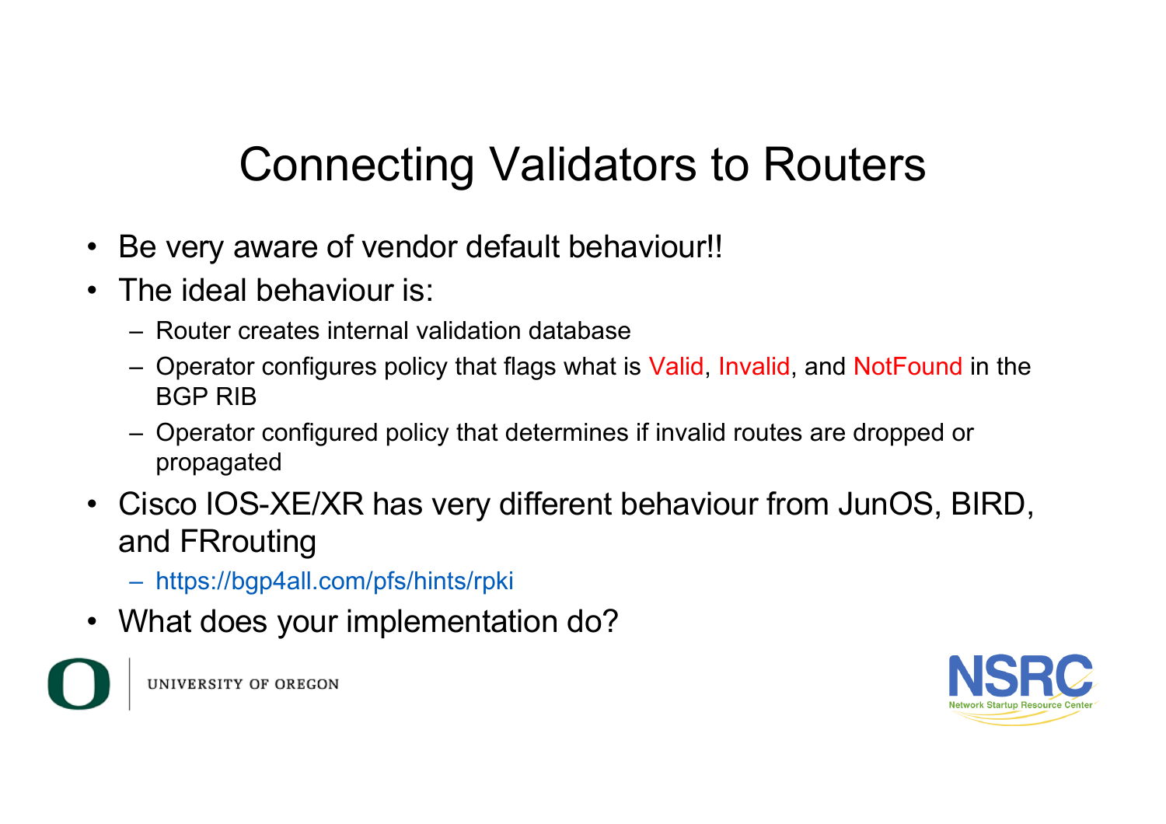- Be very aware of vendor default behaviour!!
- The ideal behaviour is:
	- Router creates internal validation database
	- Operator configures policy that flags what is Valid, Invalid, and NotFound in the BGP RIB
	- Operator configured policy that determines if invalid routes are dropped or propagated
- Cisco IOS-XE/XR has very different behaviour from JunOS, BIRD, and FRrouting
	- https://bgp4all.com/pfs/hints/rpki
- What does your implementation do?

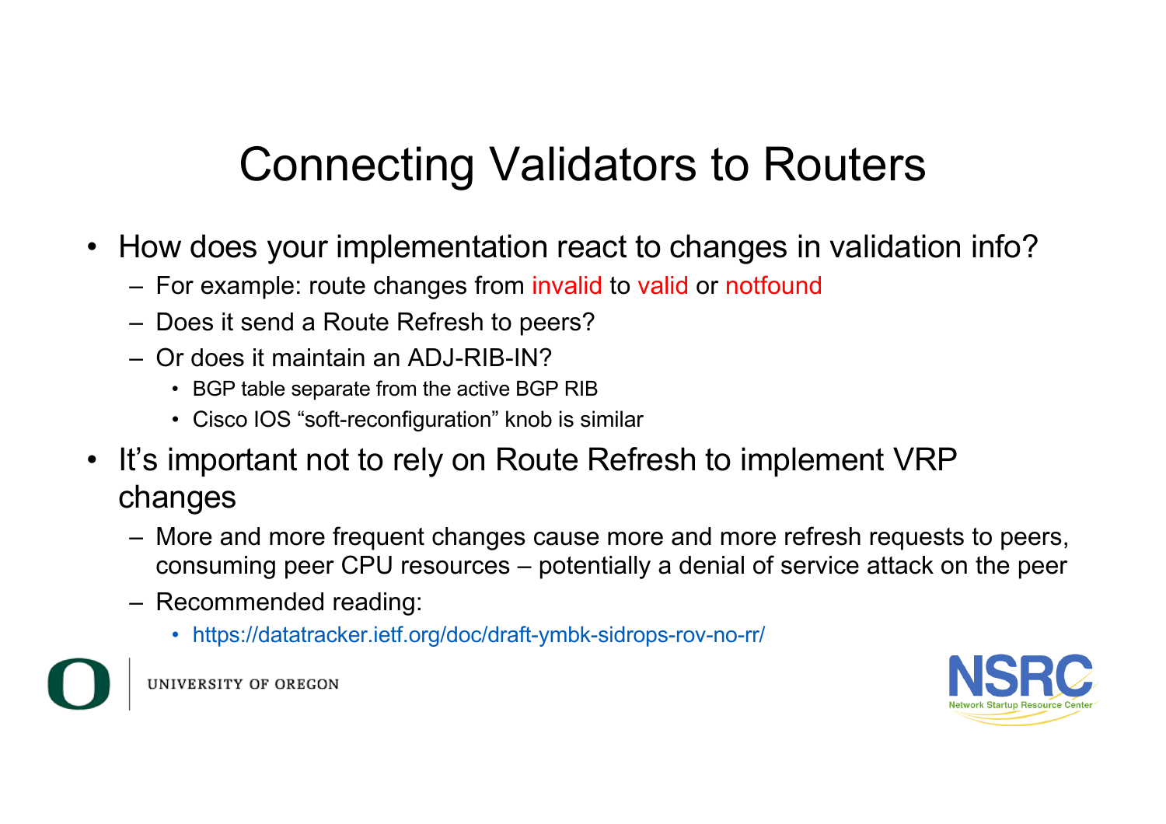- How does your implementation react to changes in validation info?
	- For example: route changes from invalid to valid or notfound
	- Does it send a Route Refresh to peers?
	- Or does it maintain an ADJ-RIB-IN?
		- BGP table separate from the active BGP RIB
		- Cisco IOS "soft-reconfiguration" knob is similar
- It's important not to rely on Route Refresh to implement VRP changes
	- More and more frequent changes cause more and more refresh requests to peers, consuming peer CPU resources – potentially a denial of service attack on the peer
	- Recommended reading:
		- https://datatracker.ietf.org/doc/draft-ymbk-sidrops-rov-no-rr/



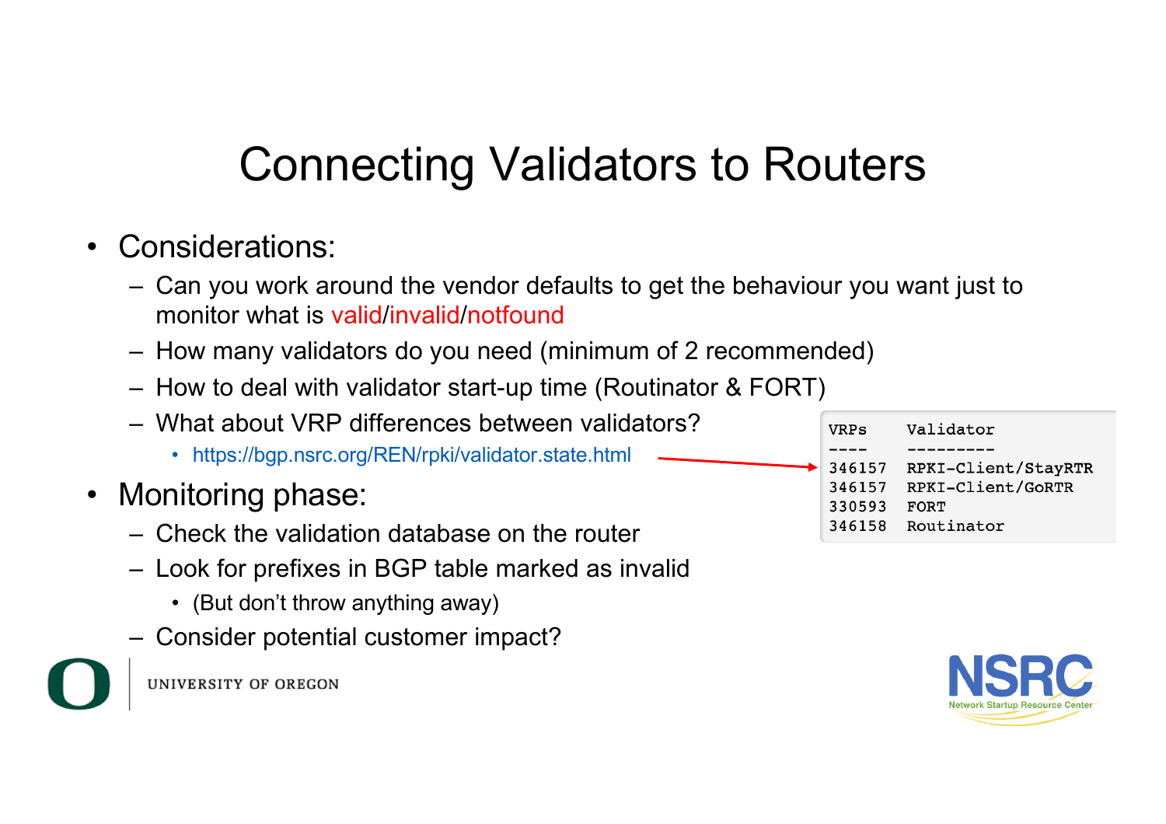- Considerations:
	- Can you work around the vendor defaults to get the behaviour you want just to monitor what is valid/invalid/notfound
	- How many validators do you need (minimum of 2 recommended)
	- How to deal with validator start-up time (Routinator & FORT)
	- What about VRP differences between validators?
		- https://bgp.nsrc.org/REN/rpki/validator.state.html
- Monitoring phase:
	- Check the validation database on the router
	- Look for prefixes in BGP table marked as invalid
		- (But don't throw anything away)
	- Consider potential customer impact?





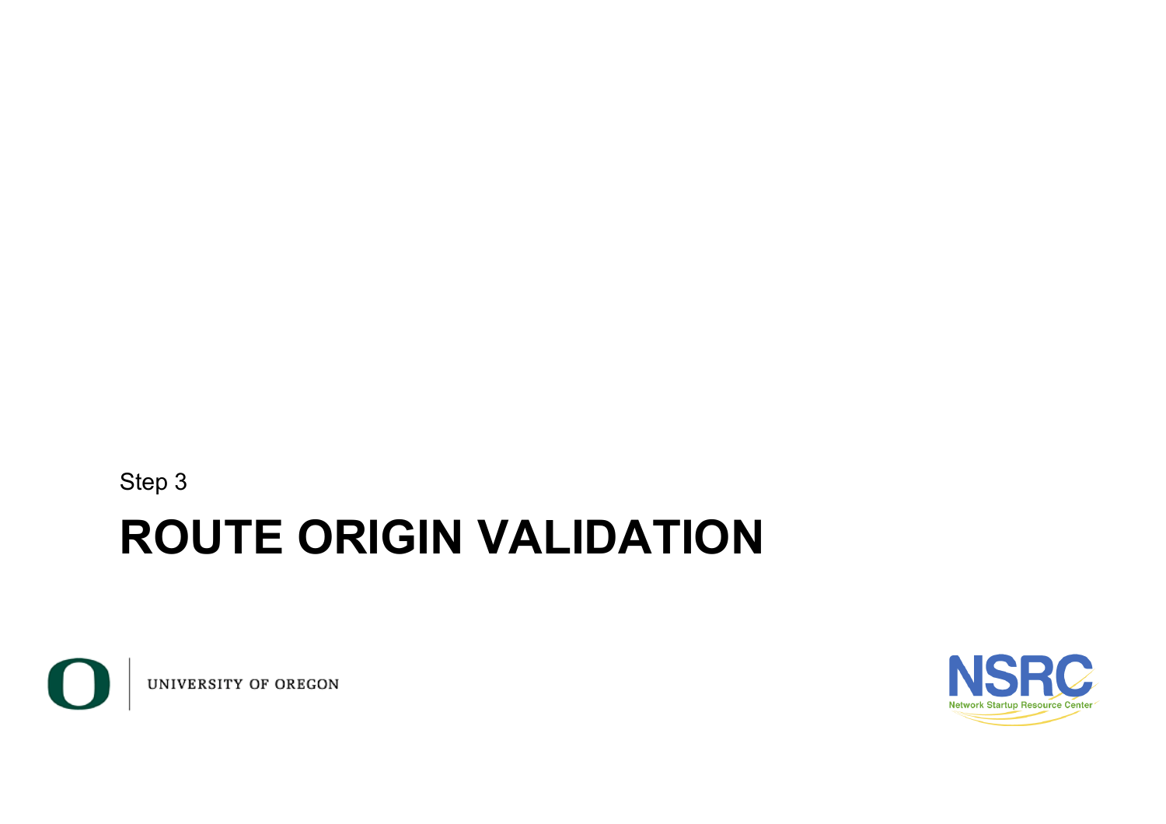Step 3

#### **ROUTE ORIGIN VALIDATION**



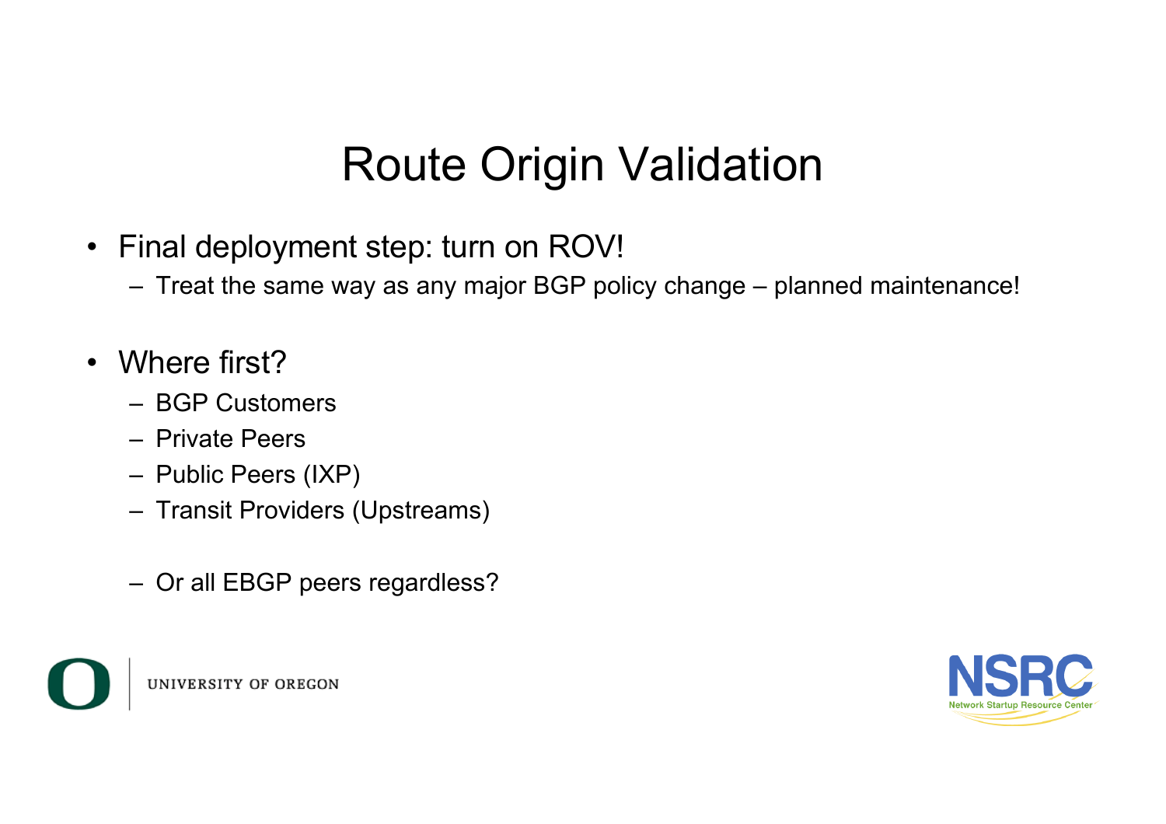### Route Origin Validation

- Final deployment step: turn on ROV!
	- Treat the same way as any major BGP policy change planned maintenance!
- Where first?
	- BGP Customers
	- Private Peers
	- Public Peers (IXP)
	- Transit Providers (Upstreams)
	- Or all EBGP peers regardless?



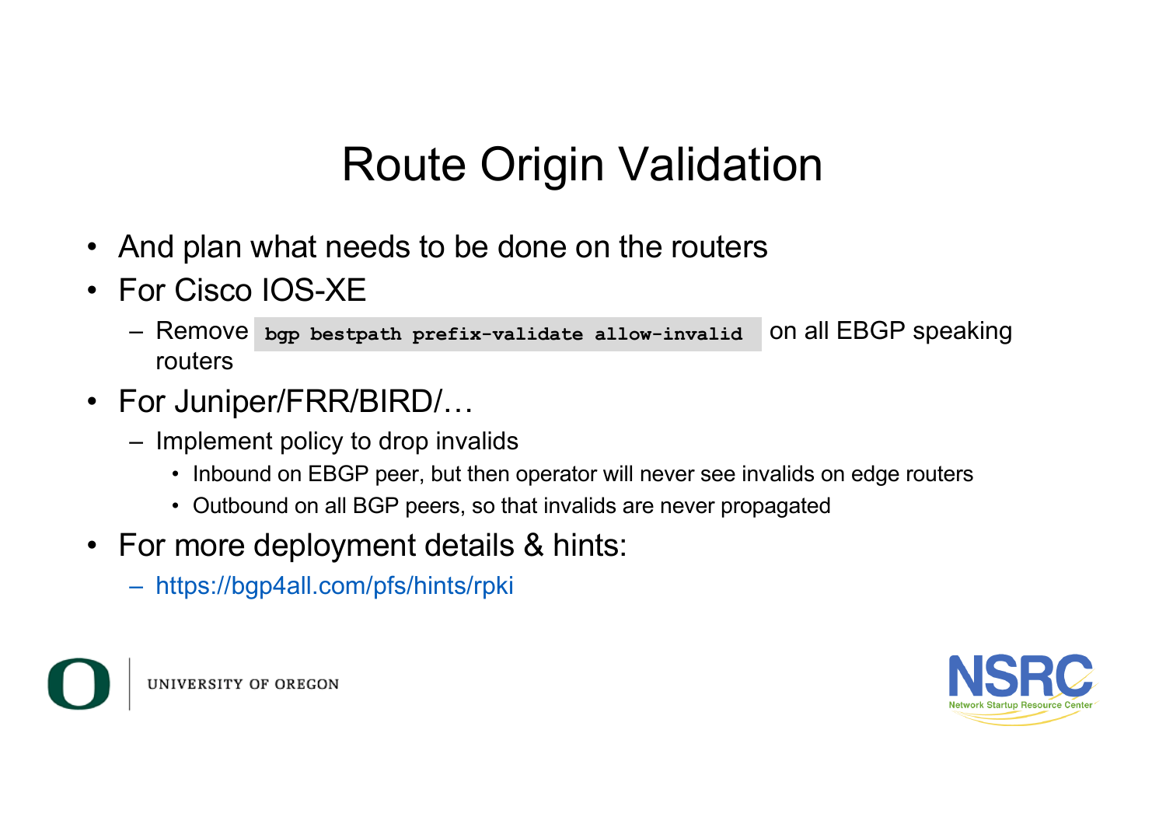### Route Origin Validation

- And plan what needs to be done on the routers
- For Cisco IOS-XE
	- $-$  Remove bgp bestpath prefix-validate allow-invalid on all EBGP speaking routers
- For Juniper/FRR/BIRD/...
	- Implement policy to drop invalids
		- Inbound on EBGP peer, but then operator will never see invalids on edge routers
		- Outbound on all BGP peers, so that invalids are never propagated
- For more deployment details & hints:
	- https://bgp4all.com/pfs/hints/rpki



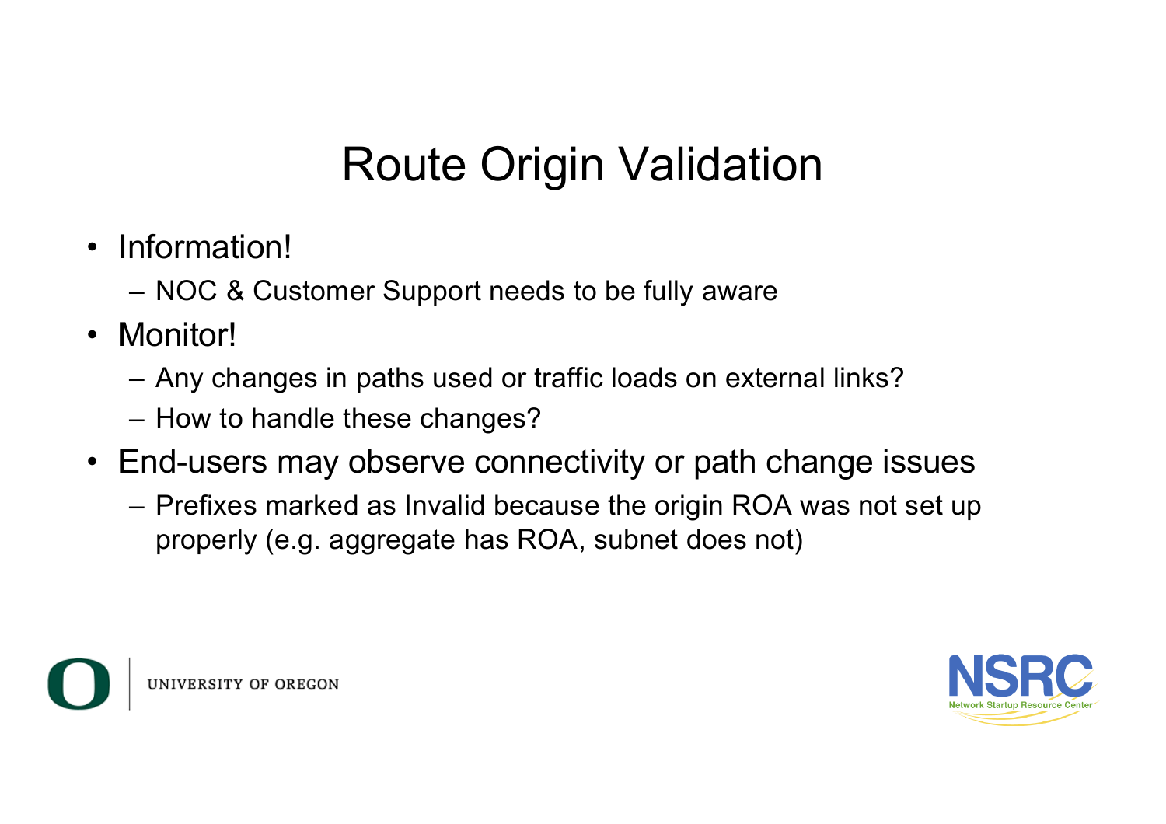# Route Origin Validation

- Information!
	- NOC & Customer Support needs to be fully aware
- Monitor!
	- Any changes in paths used or traffic loads on external links?
	- How to handle these changes?
- End-users may observe connectivity or path change issues
	- Prefixes marked as Invalid because the origin ROA was not set up properly (e.g. aggregate has ROA, subnet does not)



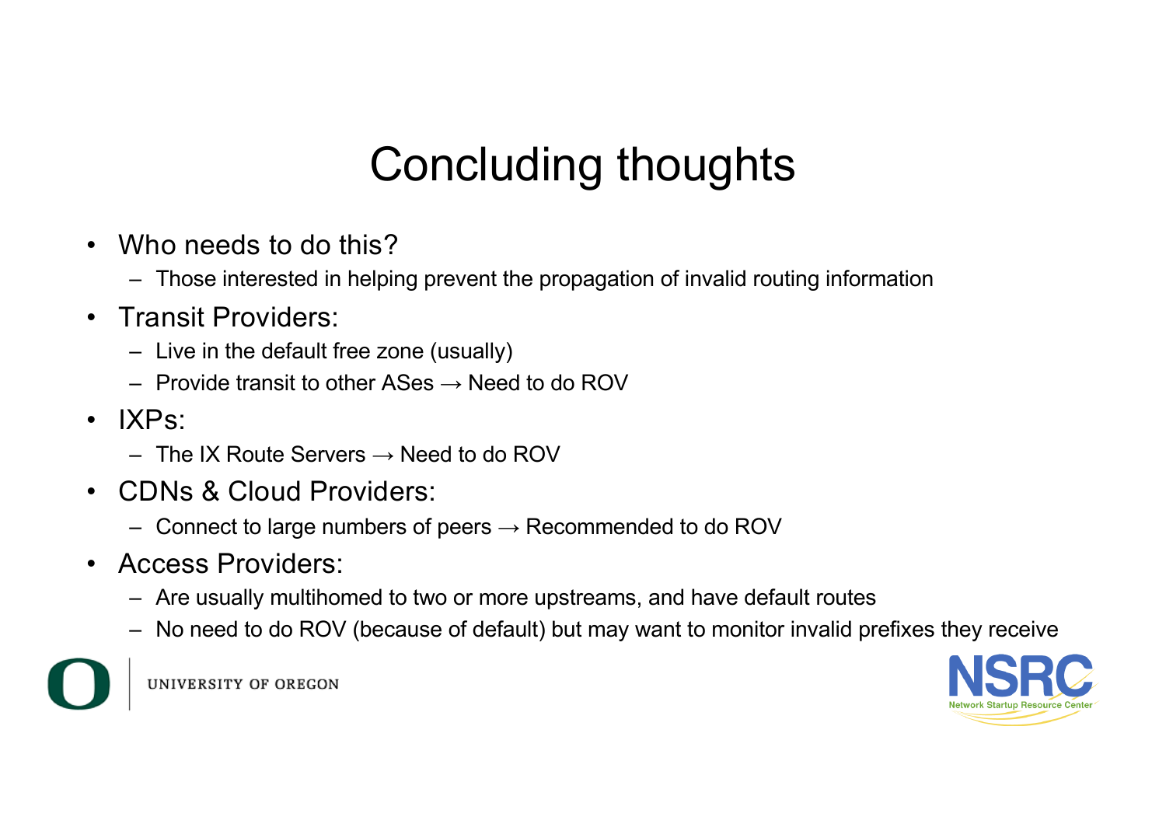# Concluding thoughts

- Who needs to do this?
	- Those interested in helping prevent the propagation of invalid routing information
- Transit Providers:
	- Live in the default free zone (usually)
	- $-$  Provide transit to other ASes  $\rightarrow$  Need to do ROV
- IXPs:
	- $-$  The IX Route Servers  $\rightarrow$  Need to do ROV
- CDNs & Cloud Providers:
	- Connect to large numbers of peers  $\rightarrow$  Recommended to do ROV
- Access Providers:
	- Are usually multihomed to two or more upstreams, and have default routes
	- No need to do ROV (because of default) but may want to monitor invalid prefixes they receive